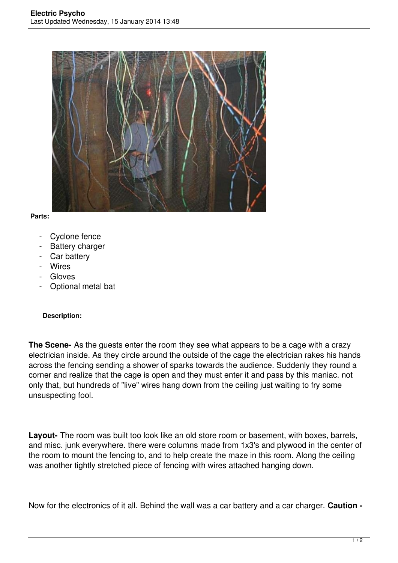

## **Parts:**

- Cyclone fence
- Battery charger
- Car battery
- Wires
- Gloves
- Optional metal bat

## **Description:**

**The Scene-** As the guests enter the room they see what appears to be a cage with a crazy electrician inside. As they circle around the outside of the cage the electrician rakes his hands across the fencing sending a shower of sparks towards the audience. Suddenly they round a corner and realize that the cage is open and they must enter it and pass by this maniac. not only that, but hundreds of "live" wires hang down from the ceiling just waiting to fry some unsuspecting fool.

**Layout-** The room was built too look like an old store room or basement, with boxes, barrels, and misc. junk everywhere. there were columns made from 1x3's and plywood in the center of the room to mount the fencing to, and to help create the maze in this room. Along the ceiling was another tightly stretched piece of fencing with wires attached hanging down.

Now for the electronics of it all. Behind the wall was a car battery and a car charger. **Caution -**